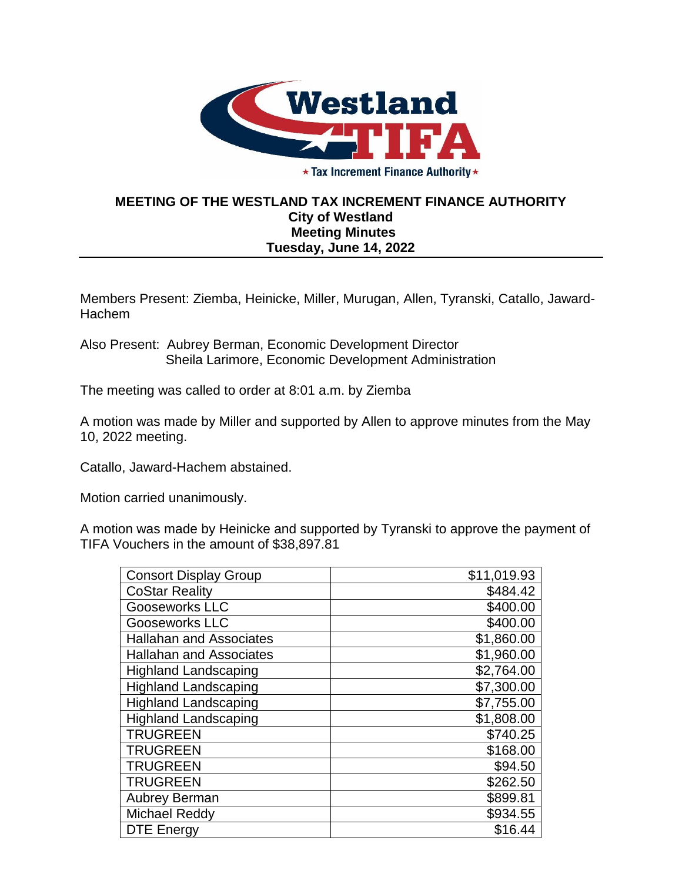

★ Tax Increment Finance Authority ★

## **MEETING OF THE WESTLAND TAX INCREMENT FINANCE AUTHORITY City of Westland Meeting Minutes Tuesday, June 14, 2022**

Members Present: Ziemba, Heinicke, Miller, Murugan, Allen, Tyranski, Catallo, Jaward-Hachem

Also Present: Aubrey Berman, Economic Development Director Sheila Larimore, Economic Development Administration

The meeting was called to order at 8:01 a.m. by Ziemba

A motion was made by Miller and supported by Allen to approve minutes from the May 10, 2022 meeting.

Catallo, Jaward-Hachem abstained.

Motion carried unanimously.

A motion was made by Heinicke and supported by Tyranski to approve the payment of TIFA Vouchers in the amount of \$38,897.81

| <b>Consort Display Group</b>   | \$11,019.93 |
|--------------------------------|-------------|
| <b>CoStar Reality</b>          | \$484.42    |
| <b>Gooseworks LLC</b>          | \$400.00    |
| <b>Gooseworks LLC</b>          | \$400.00    |
| <b>Hallahan and Associates</b> | \$1,860.00  |
| <b>Hallahan and Associates</b> | \$1,960.00  |
| <b>Highland Landscaping</b>    | \$2,764.00  |
| <b>Highland Landscaping</b>    | \$7,300.00  |
| <b>Highland Landscaping</b>    | \$7,755.00  |
| <b>Highland Landscaping</b>    | \$1,808.00  |
| <b>TRUGREEN</b>                | \$740.25    |
| <b>TRUGREEN</b>                | \$168.00    |
| <b>TRUGREEN</b>                | \$94.50     |
| <b>TRUGREEN</b>                | \$262.50    |
| <b>Aubrey Berman</b>           | \$899.81    |
| <b>Michael Reddy</b>           | \$934.55    |
| <b>DTE Energy</b>              | \$16.44     |